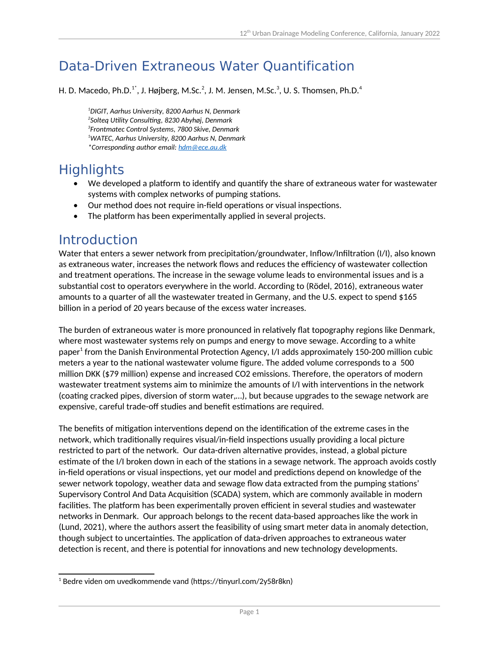# Data-Driven Extraneous Water Quantification

H. D. Macedo, Ph.D.<sup>1\*</sup>, J. Højberg, M.Sc.<sup>2</sup>, J. M. Jensen, M.Sc.<sup>3</sup>, U. S. Thomsen, Ph.D.<sup>4</sup>

*DIGIT, Aarhus University, 8200 Aarhus N, Denmark Solteq Utility Consulting, 8230 Abyhøj, Denmark Frontmatec Control Systems, 7800 Skive, Denmark WATEC, Aarhus University, 8200 Aarhus N, Denmark \*Corresponding author email: [hdm@ece.au.dk](mailto:hdm@ece.au.dk)* 

## **Highlights**

- We developed a platform to identify and quantify the share of extraneous water for wastewater systems with complex networks of pumping stations.
- Our method does not require in-field operations or visual inspections.
- The platform has been experimentally applied in several projects.

#### Introduction

Water that enters a sewer network from precipitation/groundwater, Inflow/Infiltration (I/I), also known as extraneous water, increases the network flows and reduces the efficiency of wastewater collection and treatment operations. The increase in the sewage volume leads to environmental issues and is a substantial cost to operators everywhere in the world. According to (Rödel, 2016), extraneous water amounts to a quarter of all the wastewater treated in Germany, and the U.S. expect to spend \$165 billion in a period of 20 years because of the excess water increases.

<span id="page-0-0"></span>The burden of extraneous water is more pronounced in relatively flat topography regions like Denmark, where most wastewater systems rely on pumps and energy to move sewage. According to a white paper<sup>[1](#page-0-1)</sup> from the Danish Environmental Protection Agency, I/I adds approximately 150-200 million cubic meters a year to the national wastewater volume figure. The added volume corresponds to a 500 million DKK (\$79 million) expense and increased CO2 emissions. Therefore, the operators of modern wastewater treatment systems aim to minimize the amounts of I/I with interventions in the network (coating cracked pipes, diversion of storm water,…), but because upgrades to the sewage network are expensive, careful trade-off studies and benefit estimations are required.

The benefits of mitigation interventions depend on the identification of the extreme cases in the network, which traditionally requires visual/in-field inspections usually providing a local picture restricted to part of the network. Our data-driven alternative provides, instead, a global picture estimate of the I/I broken down in each of the stations in a sewage network. The approach avoids costly in-field operations or visual inspections, yet our model and predictions depend on knowledge of the sewer network topology, weather data and sewage flow data extracted from the pumping stations' Supervisory Control And Data Acquisition (SCADA) system, which are commonly available in modern facilities. The platform has been experimentally proven efficient in several studies and wastewater networks in Denmark. Our approach belongs to the recent data-based approaches like the work in (Lund, 2021), where the authors assert the feasibility of using smart meter data in anomaly detection, though subject to uncertainties. The application of data-driven approaches to extraneous water detection is recent, and there is potential for innovations and new technology developments.

<span id="page-0-1"></span> $1$  Bedre viden om uvedkommende vand (https://tinyurl.com/2y58r8kn)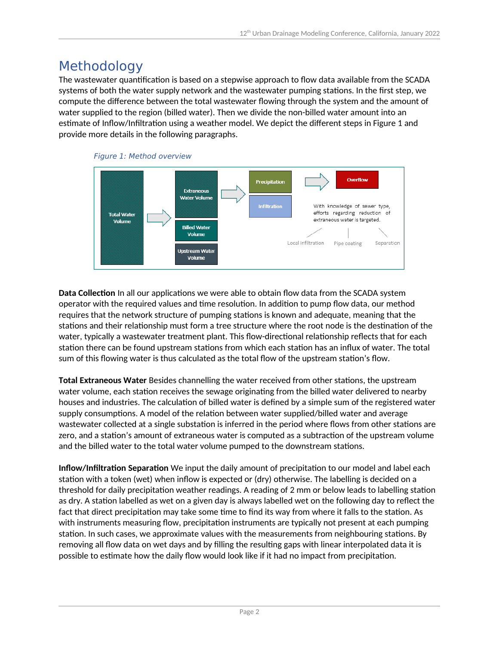### Methodology

The wastewater quantification is based on a stepwise approach to flow data available from the SCADA systems of both the water supply network and the wastewater pumping stations. In the first step, we compute the difference between the total wastewater flowing through the system and the amount of water supplied to the region (billed water). Then we divide the non-billed water amount into an estimate of Inflow/Infiltration using a weather model. We depict the different steps in Figure 1 and provide more details in the following paragraphs.



**Data Collection** In all our applications we were able to obtain flow data from the SCADA system operator with the required values and time resolution. In addition to pump flow data, our method requires that the network structure of pumping stations is known and adequate, meaning that the stations and their relationship must form a tree structure where the root node is the destination of the water, typically a wastewater treatment plant. This flow-directional relationship reflects that for each station there can be found upstream stations from which each station has an influx of water. The total sum of this flowing water is thus calculated as the total flow of the upstream station's flow.

**Total Extraneous Water** Besides channelling the water received from other stations, the upstream water volume, each station receives the sewage originating from the billed water delivered to nearby houses and industries. The calculation of billed water is defined by a simple sum of the registered water supply consumptions. A model of the relation between water supplied/billed water and average wastewater collected at a single substation is inferred in the period where flows from other stations are zero, and a station's amount of extraneous water is computed as a subtraction of the upstream volume and the billed water to the total water volume pumped to the downstream stations.

**Inflow/Infiltration Separation** We input the daily amount of precipitation to our model and label each station with a token (wet) when inflow is expected or (dry) otherwise. The labelling is decided on a threshold for daily precipitation weather readings. A reading of 2 mm or below leads to labelling station as dry. A station labelled as wet on a given day is always labelled wet on the following day to reflect the fact that direct precipitation may take some time to find its way from where it falls to the station. As with instruments measuring flow, precipitation instruments are typically not present at each pumping station. In such cases, we approximate values with the measurements from neighbouring stations. By removing all flow data on wet days and by filling the resulting gaps with linear interpolated data it is possible to estimate how the daily flow would look like if it had no impact from precipitation.